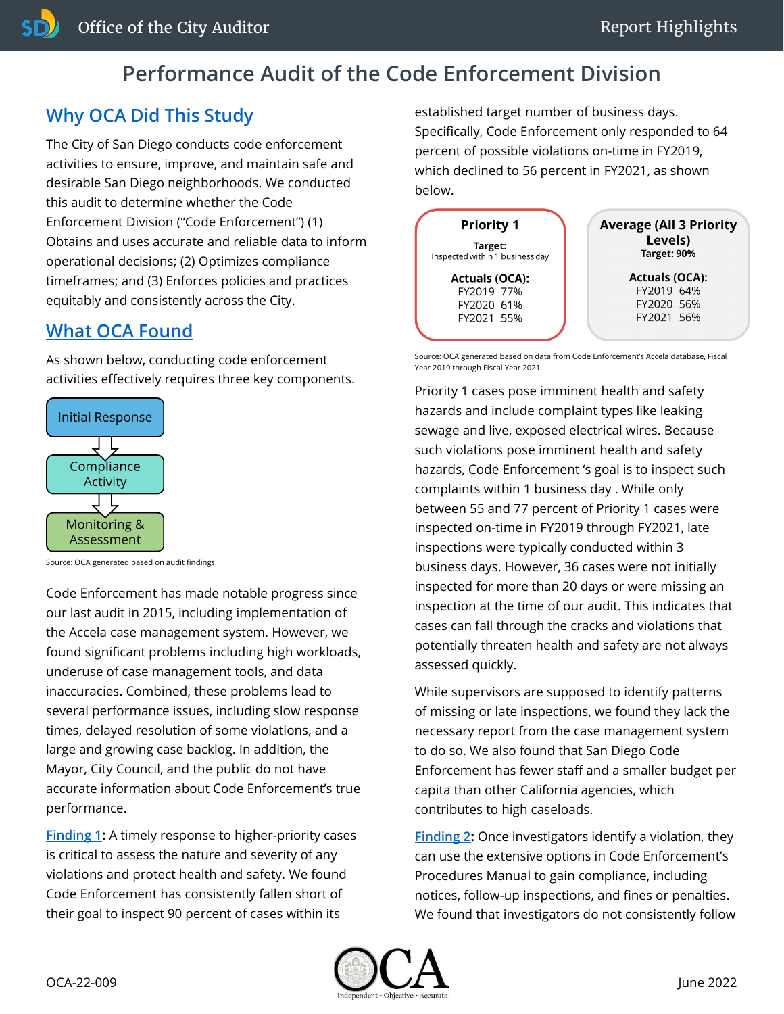## **Performance Audit of the Code Enforcement Division**

## **[Why OCA Did This Study](https://www.sandiego.gov/sites/default/files/22-009_dsd_code_enforcement.pdf#page=6)**

The City of San Diego conducts code enforcement activities to ensure, improve, and maintain safe and desirable San Diego neighborhoods. We conducted this audit to determine whether the Code Enforcement Division ("Code Enforcement") (1) Obtains and uses accurate and reliable data to inform operational decisions; (2) Optimizes compliance timeframes; and (3) Enforces policies and practices equitably and consistently across the City.

## **[What OCA Found](https://www.sandiego.gov/sites/default/files/22-009_dsd_code_enforcement.pdf#page=15)**

As shown below, conducting code enforcement activities effectively requires three key components.



Source: OCA generated based on audit findings.

Code Enforcement has made notable progress since our last audit in 2015, including implementation of the Accela case management system. However, we found significant problems including high workloads, underuse of case management tools, and data inaccuracies. Combined, these problems lead to several performance issues, including slow response times, delayed resolution of some violations, and a large and growing case backlog. In addition, the Mayor, City Council, and the public do not have accurate information about Code Enforcement's true performance.

**[Finding 1](https://www.sandiego.gov/sites/default/files/22-009_dsd_code_enforcement.pdf#page=15):** A timely response to higher-priority cases is critical to assess the nature and severity of any violations and protect health and safety. We found Code Enforcement has consistently fallen short of their goal to inspect 90 percent of cases within its

established target number of business days. Specifically, Code Enforcement only responded to 64 percent of possible violations on-time in FY2019, which declined to 56 percent in FY2021, as shown below.



Source: OCA generated based on data from Code Enforcement's Accela database, Fiscal Year 2019 through Fiscal Year 2021.

Priority 1 cases pose imminent health and safety hazards and include complaint types like leaking sewage and live, exposed electrical wires. Because such violations pose imminent health and safety hazards, Code Enforcement 's goal is to inspect such complaints within 1 business day . While only between 55 and 77 percent of Priority 1 cases were inspected on-time in FY2019 through FY2021, late inspections were typically conducted within 3 business days. However, 36 cases were not initially inspected for more than 20 days or were missing an inspection at the time of our audit. This indicates that cases can fall through the cracks and violations that potentially threaten health and safety are not always assessed quickly.

While supervisors are supposed to identify patterns of missing or late inspections, we found they lack the necessary report from the case management system to do so. We also found that San Diego Code Enforcement has fewer staff and a smaller budget per capita than other California agencies, which contributes to high caseloads.

**[Finding 2](https://www.sandiego.gov/sites/default/files/22-009_dsd_code_enforcement.pdf#page=29):** Once investigators identify a violation, they can use the extensive options in Code Enforcement's Procedures Manual to gain compliance, including notices, follow-up inspections, and fines or penalties. We found that investigators do not consistently follow